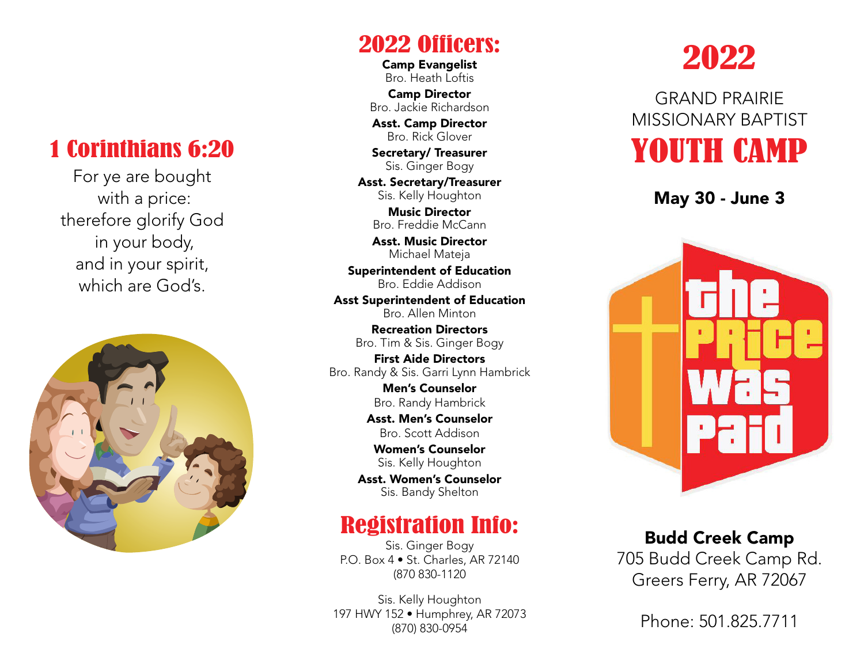### 1 Corinthians 6:20

For ye are bought with a price: therefore glorify God in your body, and in your spirit, which are God's



2022 Officers:

Camp Evangelist Bro. Heath Loftis

Camp Director Bro. Jackie Richardson

Asst. Camp Director Bro. Rick Glover

Secretary/ Treasurer Sis. Ginger Bogy

Asst. Secretary/Treasurer Sis. Kelly Houghton

Music Director Bro. Freddie McCann

Asst. Music Director Michael Mateja

Superintendent of Education Bro. Eddie Addison

Asst Superintendent of Education Bro. Allen Minton

Recreation Directors Bro. Tim & Sis. Ginger Bogy

First Aide Directors Bro. Randy & Sis. Garri Lynn Hambrick

> Men's Counselor Bro. Randy Hambrick

Asst. Men's Counselor Bro. Scott Addison

Women's Counselor Sis. Kelly Houghton

Asst. Women's Counselor Sis. Bandy Shelton

#### Registration Info:

Sis. Ginger Bogy P.O. Box 4 • St. Charles, AR 72140 (870 830-1120

Sis. Kelly Houghton 197 HWY 152 • Humphrey, AR 72073 (870) 830-0954

# 2022

GRAND PRAIRIE MISSIONARY BAPTIST YOUTH CAMP

May 30 - June 3



# Budd Creek Camp

705 Budd Creek Camp Rd. Greers Ferry, AR 72067

Phone: 501.825.7711